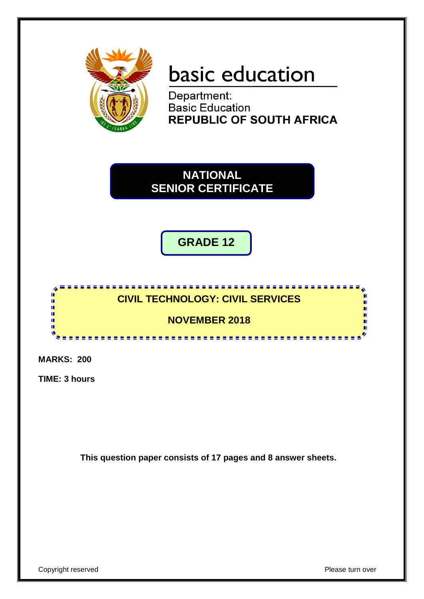

# basic education

Department: **Basic Education REPUBLIC OF SOUTH AFRICA** 

**NATIONAL SENIOR CERTIFICATE**

**GRADE 12**



**MARKS: 200**

**TIME: 3 hours**

**This question paper consists of 17 pages and 8 answer sheets.**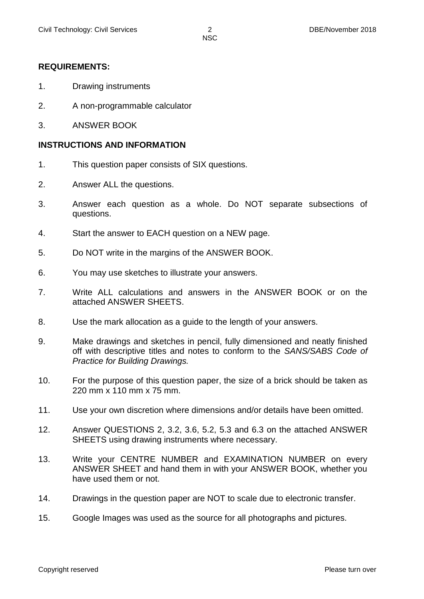#### **REQUIREMENTS:**

- 1. Drawing instruments
- 2. A non-programmable calculator
- 3. ANSWER BOOK

#### **INSTRUCTIONS AND INFORMATION**

- 1. This question paper consists of SIX questions.
- 2. Answer ALL the questions.
- 3. Answer each question as a whole. Do NOT separate subsections of questions.
- 4. Start the answer to EACH question on a NEW page.
- 5. Do NOT write in the margins of the ANSWER BOOK.
- 6. You may use sketches to illustrate your answers.
- 7. Write ALL calculations and answers in the ANSWER BOOK or on the attached ANSWER SHEETS.
- 8. Use the mark allocation as a guide to the length of your answers.
- 9. Make drawings and sketches in pencil, fully dimensioned and neatly finished off with descriptive titles and notes to conform to the *SANS/SABS Code of Practice for Building Drawings.*
- 10. For the purpose of this question paper, the size of a brick should be taken as 220 mm x 110 mm x 75 mm.
- 11. Use your own discretion where dimensions and/or details have been omitted.
- 12. Answer QUESTIONS 2, 3.2, 3.6, 5.2, 5.3 and 6.3 on the attached ANSWER SHEETS using drawing instruments where necessary.
- 13. Write your CENTRE NUMBER and EXAMINATION NUMBER on every ANSWER SHEET and hand them in with your ANSWER BOOK, whether you have used them or not.
- 14. Drawings in the question paper are NOT to scale due to electronic transfer.
- 15. Google Images was used as the source for all photographs and pictures.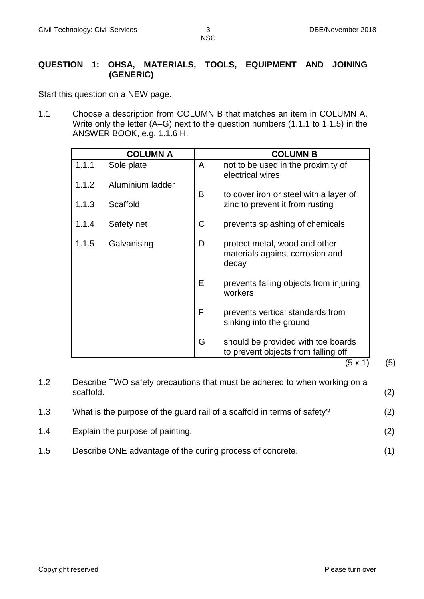## **QUESTION 1: OHSA, MATERIALS, TOOLS, EQUIPMENT AND JOINING (GENERIC)**

Start this question on a NEW page.

1.1 Choose a description from COLUMN B that matches an item in COLUMN A. Write only the letter (A–G) next to the question numbers (1.1.1 to 1.1.5) in the ANSWER BOOK, e.g. 1.1.6 H.

|       | <b>COLUMN A</b>  |             | <b>COLUMN B</b>                                                           |
|-------|------------------|-------------|---------------------------------------------------------------------------|
| 1.1.1 | Sole plate       | A           | not to be used in the proximity of<br>electrical wires                    |
| 1.1.2 | Aluminium ladder | B           | to cover iron or steel with a layer of                                    |
| 1.1.3 | Scaffold         |             | zinc to prevent it from rusting                                           |
| 1.1.4 | Safety net       | $\mathsf C$ | prevents splashing of chemicals                                           |
| 1.1.5 | Galvanising      | D           | protect metal, wood and other<br>materials against corrosion and<br>decay |
|       |                  | E           | prevents falling objects from injuring<br>workers                         |
|       |                  | F           | prevents vertical standards from<br>sinking into the ground               |
|       |                  | G           | should be provided with toe boards<br>to prevent objects from falling off |
|       |                  |             | (5 x 1)                                                                   |

| 1.2 | Describe TWO safety precautions that must be adhered to when working on a<br>scaffold. | (2) |
|-----|----------------------------------------------------------------------------------------|-----|
| 1.3 | What is the purpose of the guard rail of a scaffold in terms of safety?                | (2) |
| 1.4 | Explain the purpose of painting.                                                       | (2) |
| 1.5 | Describe ONE advantage of the curing process of concrete.                              | (1) |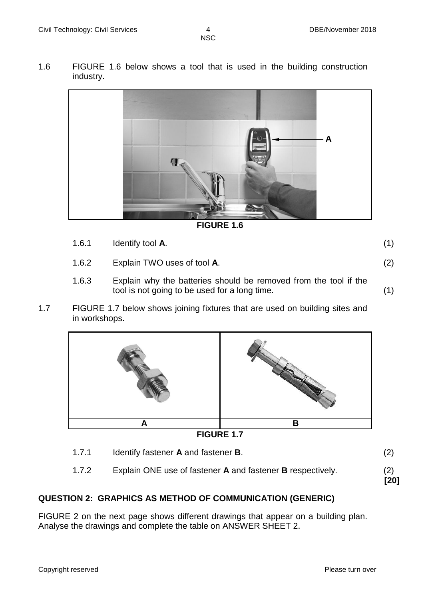1.6 FIGURE 1.6 below shows a tool that is used in the building construction industry.



**FIGURE 1.6**

- 1.6.1 Identify tool **A**. (1) 1.6.2 Explain TWO uses of tool **A**. (2)
- 1.6.3 Explain why the batteries should be removed from the tool if the tool is not going to be used for a long time. (1)
- 1.7 FIGURE 1.7 below shows joining fixtures that are used on building sites and in workshops.



1.7.1 Identify fastener **A** and fastener **B**. (2) 1.7.2 Explain ONE use of fastener **A** and fastener **B** respectively. (2) **[20]**

# **QUESTION 2: GRAPHICS AS METHOD OF COMMUNICATION (GENERIC)**

FIGURE 2 on the next page shows different drawings that appear on a building plan. Analyse the drawings and complete the table on ANSWER SHEET 2.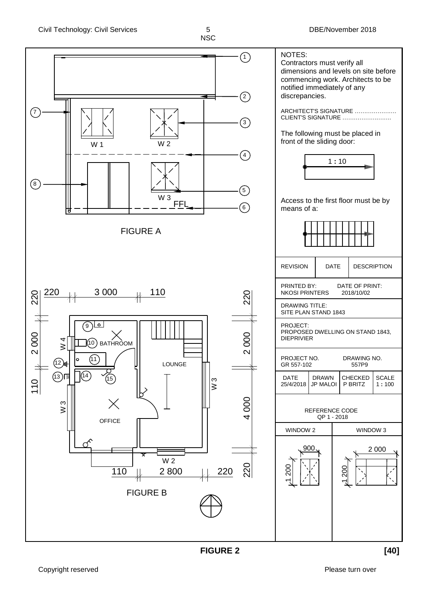

**FIGURE 2 [40]**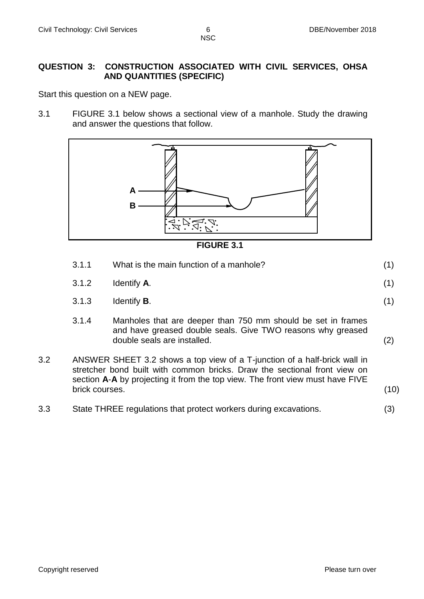### **QUESTION 3: CONSTRUCTION ASSOCIATED WITH CIVIL SERVICES, OHSA AND QUANTITIES (SPECIFIC)**

Start this question on a NEW page.

3.1 FIGURE 3.1 below shows a sectional view of a manhole. Study the drawing and answer the questions that follow.



**FIGURE 3.1**

- 3.1.1 What is the main function of a manhole? (1)
- 3.1.2 Identify **A**. (1)
- 3.1.3 Identify **B**. (1)
- 3.1.4 Manholes that are deeper than 750 mm should be set in frames and have greased double seals. Give TWO reasons why greased double seals are installed. (2)
- 3.2 ANSWER SHEET 3.2 shows a top view of a T-junction of a half-brick wall in stretcher bond built with common bricks. Draw the sectional front view on section **A**-**A** by projecting it from the top view. The front view must have FIVE brick courses. (10)
- 3.3 State THREE regulations that protect workers during excavations. (3)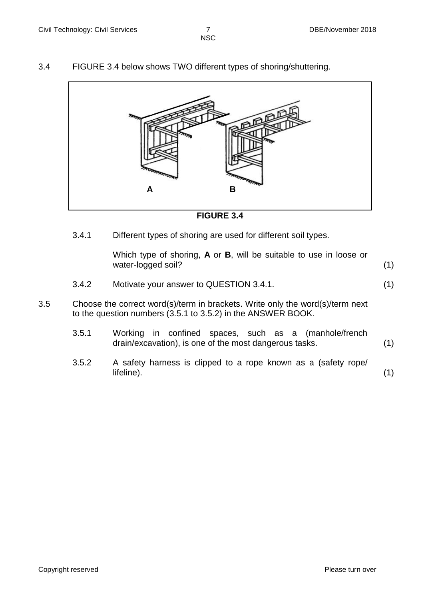3.4 FIGURE 3.4 below shows TWO different types of shoring/shuttering.



**FIGURE 3.4**

3.4.1 Different types of shoring are used for different soil types.

Which type of shoring, **A** or **B**, will be suitable to use in loose or water-logged soil? (1)

- 3.4.2 Motivate your answer to QUESTION 3.4.1. (1)
- 3.5 Choose the correct word(s)/term in brackets. Write only the word(s)/term next to the question numbers (3.5.1 to 3.5.2) in the ANSWER BOOK.
	- 3.5.1 Working in confined spaces, such as a (manhole/french drain/excavation), is one of the most dangerous tasks. (1)
	- 3.5.2 A safety harness is clipped to a rope known as a (safety rope/ lifeline). (1)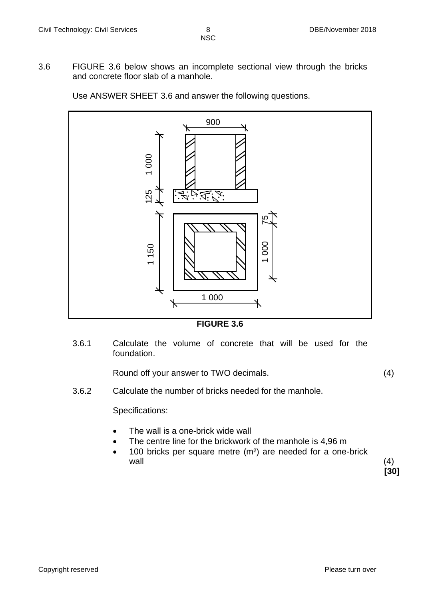3.6 FIGURE 3.6 below shows an incomplete sectional view through the bricks and concrete floor slab of a manhole.

Use ANSWER SHEET 3.6 and answer the following questions.



**FIGURE 3.6**

3.6.1 Calculate the volume of concrete that will be used for the foundation.

Round off your answer to TWO decimals. (4)

3.6.2 Calculate the number of bricks needed for the manhole.

Specifications:

- The wall is a one-brick wide wall
- The centre line for the brickwork of the manhole is 4,96 m
- 100 bricks per square metre (m²) are needed for a one-brick wall (4)

**[30]**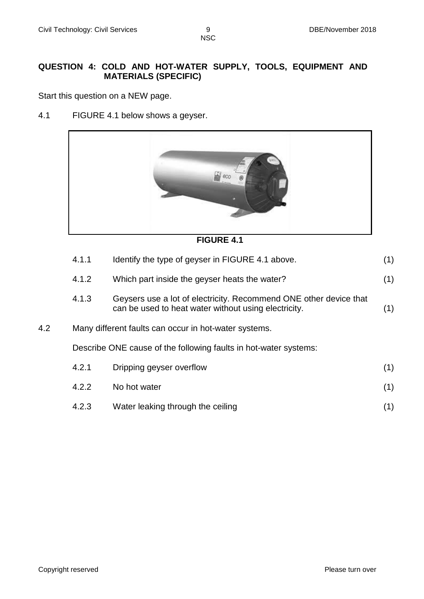## **QUESTION 4: COLD AND HOT-WATER SUPPLY, TOOLS, EQUIPMENT AND MATERIALS (SPECIFIC)**

Start this question on a NEW page.

4.1 FIGURE 4.1 below shows a geyser.



**FIGURE 4.1**

|     | 4.1.1                                                            | Identify the type of geyser in FIGURE 4.1 above.                                                                          | (1) |  |  |  |  |  |
|-----|------------------------------------------------------------------|---------------------------------------------------------------------------------------------------------------------------|-----|--|--|--|--|--|
|     | 4.1.2                                                            | Which part inside the geyser heats the water?                                                                             | (1) |  |  |  |  |  |
|     | 4.1.3                                                            | Geysers use a lot of electricity. Recommend ONE other device that<br>can be used to heat water without using electricity. | (1) |  |  |  |  |  |
| 4.2 | Many different faults can occur in hot-water systems.            |                                                                                                                           |     |  |  |  |  |  |
|     | Describe ONE cause of the following faults in hot-water systems: |                                                                                                                           |     |  |  |  |  |  |
|     | 4.2.1                                                            | Dripping geyser overflow                                                                                                  | (1) |  |  |  |  |  |
|     | 4.2.2                                                            | No hot water                                                                                                              | (1) |  |  |  |  |  |
|     | 4.2.3                                                            | Water leaking through the ceiling                                                                                         | (1) |  |  |  |  |  |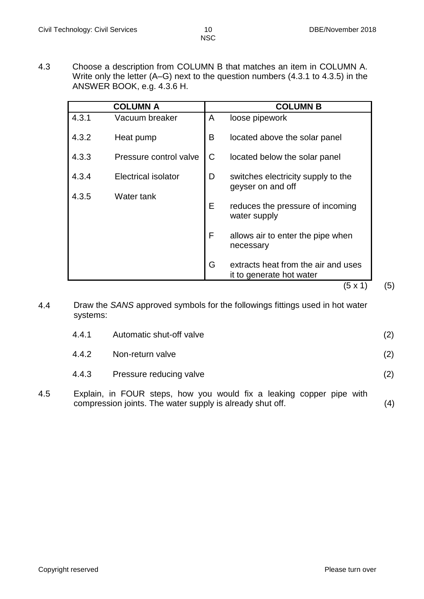4.3 Choose a description from COLUMN B that matches an item in COLUMN A. Write only the letter (A–G) next to the question numbers (4.3.1 to 4.3.5) in the ANSWER BOOK, e.g. 4.3.6 H.

|       | <b>COLUMN A</b>        |   | <b>COLUMN B</b>                                                 |  |
|-------|------------------------|---|-----------------------------------------------------------------|--|
| 4.3.1 | Vacuum breaker         | A | loose pipework                                                  |  |
| 4.3.2 | Heat pump              | B | located above the solar panel                                   |  |
| 4.3.3 | Pressure control valve | C | located below the solar panel                                   |  |
| 4.3.4 | Electrical isolator    | D | switches electricity supply to the<br>geyser on and off         |  |
| 4.3.5 | Water tank             | E | reduces the pressure of incoming<br>water supply                |  |
|       |                        | F | allows air to enter the pipe when<br>necessary                  |  |
|       |                        | G | extracts heat from the air and uses<br>it to generate hot water |  |
|       |                        |   | (5 x 1)                                                         |  |

4.4 Draw the *SANS* approved symbols for the followings fittings used in hot water systems:

| 4.4.1 | Automatic shut-off valve | (2) |
|-------|--------------------------|-----|
| 4.4.2 | Non-return valve         | (2) |
| 4.4.3 | Pressure reducing valve  | (2) |

4.5 Explain, in FOUR steps, how you would fix a leaking copper pipe with compression joints. The water supply is already shut off. (4)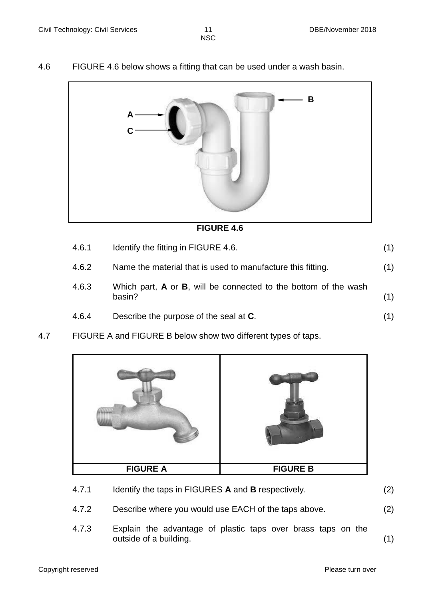4.6 FIGURE 4.6 below shows a fitting that can be used under a wash basin.



**FIGURE 4.6**

| 4.6.1 | Identify the fitting in FIGURE 4.6.                                       | (1) |
|-------|---------------------------------------------------------------------------|-----|
| 4.6.2 | Name the material that is used to manufacture this fitting.               | (1) |
| 4.6.3 | Which part, A or B, will be connected to the bottom of the wash<br>basin? | (1) |
| 4.6.4 | Describe the purpose of the seal at C.                                    |     |

4.7 FIGURE A and FIGURE B below show two different types of taps.



- 4.7.1 Identify the taps in FIGURES **A** and **B** respectively. (2)
- 4.7.2 Describe where you would use EACH of the taps above. (2)
- 4.7.3 Explain the advantage of plastic taps over brass taps on the outside of a building. (1)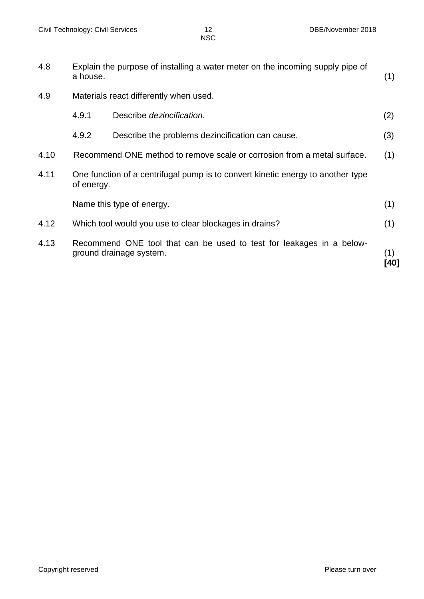| 4.8  | Explain the purpose of installing a water meter on the incoming supply pipe of<br>a house.      |  |  |  |  |  |  |
|------|-------------------------------------------------------------------------------------------------|--|--|--|--|--|--|
| 4.9  | Materials react differently when used.                                                          |  |  |  |  |  |  |
|      | Describe <i>dezincification</i> .<br>4.9.1                                                      |  |  |  |  |  |  |
|      | 4.9.2<br>Describe the problems dezincification can cause.                                       |  |  |  |  |  |  |
| 4.10 | Recommend ONE method to remove scale or corrosion from a metal surface.                         |  |  |  |  |  |  |
| 4.11 | One function of a centrifugal pump is to convert kinetic energy to another type<br>of energy.   |  |  |  |  |  |  |
|      | Name this type of energy.                                                                       |  |  |  |  |  |  |
| 4.12 | Which tool would you use to clear blockages in drains?                                          |  |  |  |  |  |  |
| 4.13 | Recommend ONE tool that can be used to test for leakages in a below-<br>ground drainage system. |  |  |  |  |  |  |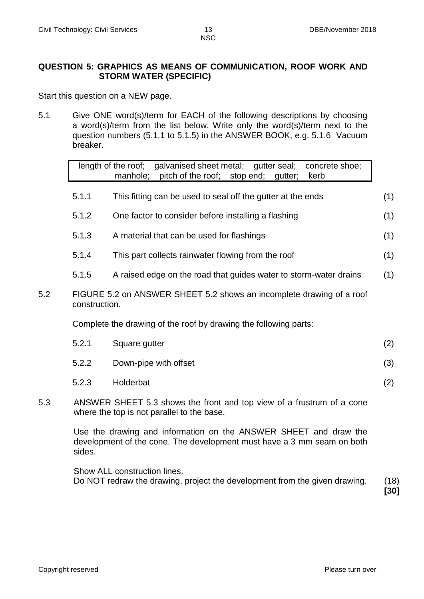#### **QUESTION 5: GRAPHICS AS MEANS OF COMMUNICATION, ROOF WORK AND STORM WATER (SPECIFIC)**

Start this question on a NEW page.

5.1 Give ONE word(s)/term for EACH of the following descriptions by choosing a word(s)/term from the list below. Write only the word(s)/term next to the question numbers (5.1.1 to 5.1.5) in the ANSWER BOOK, e.g. 5.1.6 Vacuum breaker.

|     |               | galvanised sheet metal; gutter seal;<br>length of the roof;<br>concrete shoe;<br>pitch of the roof; stop end;<br>manhole;<br>kerb<br>qutter; |              |
|-----|---------------|----------------------------------------------------------------------------------------------------------------------------------------------|--------------|
|     | 5.1.1         | This fitting can be used to seal off the gutter at the ends                                                                                  | (1)          |
|     | 5.1.2         | One factor to consider before installing a flashing                                                                                          | (1)          |
|     | 5.1.3         | A material that can be used for flashings                                                                                                    | (1)          |
|     | 5.1.4         | This part collects rainwater flowing from the roof                                                                                           | (1)          |
|     | 5.1.5         | A raised edge on the road that guides water to storm-water drains                                                                            | (1)          |
| 5.2 | construction. | FIGURE 5.2 on ANSWER SHEET 5.2 shows an incomplete drawing of a roof                                                                         |              |
|     |               | Complete the drawing of the roof by drawing the following parts:                                                                             |              |
|     | 5.2.1         | Square gutter                                                                                                                                | (2)          |
|     | 5.2.2         | Down-pipe with offset                                                                                                                        | (3)          |
|     | 5.2.3         | Holderbat                                                                                                                                    | (2)          |
| 5.3 |               | ANSWER SHEET 5.3 shows the front and top view of a frustrum of a cone<br>where the top is not parallel to the base.                          |              |
|     | sides.        | Use the drawing and information on the ANSWER SHEET and draw the<br>development of the cone. The development must have a 3 mm seam on both   |              |
|     |               | Show ALL construction lines.<br>Do NOT redraw the drawing, project the development from the given drawing.                                   | (18)<br>[30] |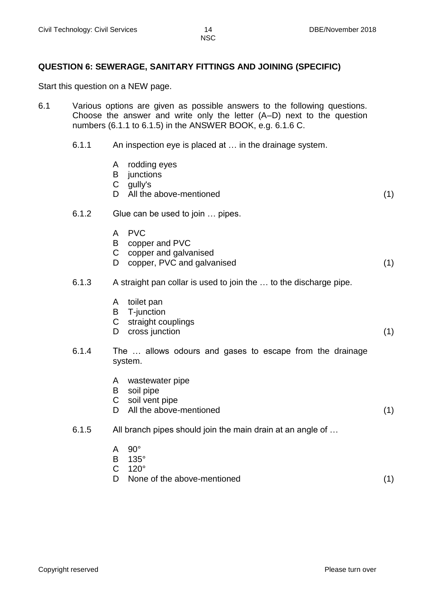#### **QUESTION 6: SEWERAGE, SANITARY FITTINGS AND JOINING (SPECIFIC)**

Start this question on a NEW page.

- 6.1 Various options are given as possible answers to the following questions. Choose the answer and write only the letter (A–D) next to the question numbers (6.1.1 to 6.1.5) in the ANSWER BOOK, e.g. 6.1.6 C.
	- 6.1.1 An inspection eye is placed at … in the drainage system.
		- A rodding eyes
		- B junctions
		- $\mathsf{C}$ gully's
		- D All the above-mentioned (1)
	- 6.1.2 Glue can be used to join … pipes.
		- A PVC
		- B copper and PVC
		- C copper and galvanised
		- D copper, PVC and galvanised (1)
	- 6.1.3 A straight pan collar is used to join the … to the discharge pipe.
		- A toilet pan
		- B T-junction
		- C straight couplings
		- D cross junction (1)
	- 6.1.4 The … allows odours and gases to escape from the drainage system.
		- A wastewater pipe
		- B soil pipe
		- $\mathsf C$ soil vent pipe
		- D. All the above-mentioned (1)
	- 6.1.5 All branch pipes should join the main drain at an angle of …
		- A 90°
		- B 135°
		- $\mathsf{C}$ 120°
		- D None of the above-mentioned (1)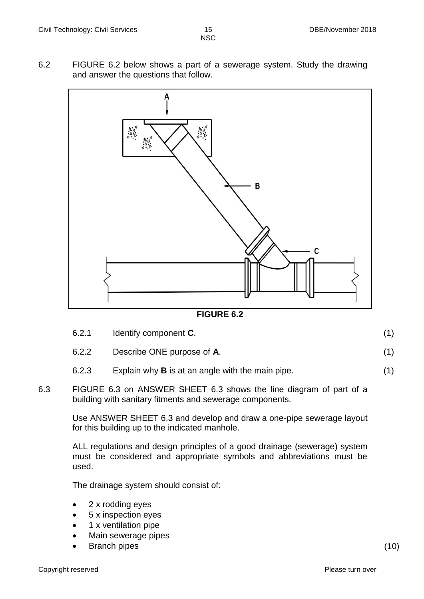6.2 FIGURE 6.2 below shows a part of a sewerage system. Study the drawing and answer the questions that follow.



**FIGURE 6.2**

| 6.2.1 | Identify component <b>C</b> . |  |
|-------|-------------------------------|--|
|       |                               |  |

6.2.2 Describe ONE purpose of **A**. (1)

- 6.2.3 Explain why **B** is at an angle with the main pipe. (1)
- 6.3 FIGURE 6.3 on ANSWER SHEET 6.3 shows the line diagram of part of a building with sanitary fitments and sewerage components.

Use ANSWER SHEET 6.3 and develop and draw a one-pipe sewerage layout for this building up to the indicated manhole.

ALL regulations and design principles of a good drainage (sewerage) system must be considered and appropriate symbols and abbreviations must be used.

The drainage system should consist of:

- 2 x rodding eyes
- 5 x inspection eyes
- 1 x ventilation pipe
- Main sewerage pipes
- Branch pipes (10)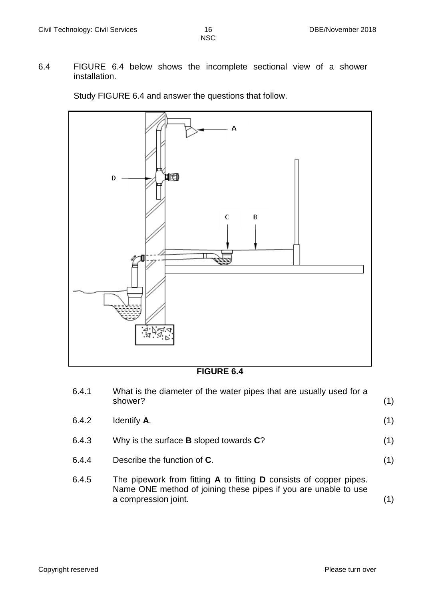6.4 FIGURE 6.4 below shows the incomplete sectional view of a shower installation.





**FIGURE 6.4**

| 6.4.1 | What is the diameter of the water pipes that are usually used for a<br>shower?                                                                                | (1) |
|-------|---------------------------------------------------------------------------------------------------------------------------------------------------------------|-----|
| 6.4.2 | Identify A.                                                                                                                                                   | (1) |
| 6.4.3 | Why is the surface <b>B</b> sloped towards $C$ ?                                                                                                              | (1) |
| 6.4.4 | Describe the function of <b>C</b> .                                                                                                                           | (1) |
| 6.4.5 | The pipework from fitting A to fitting D consists of copper pipes.<br>Name ONE method of joining these pipes if you are unable to use<br>a compression joint. |     |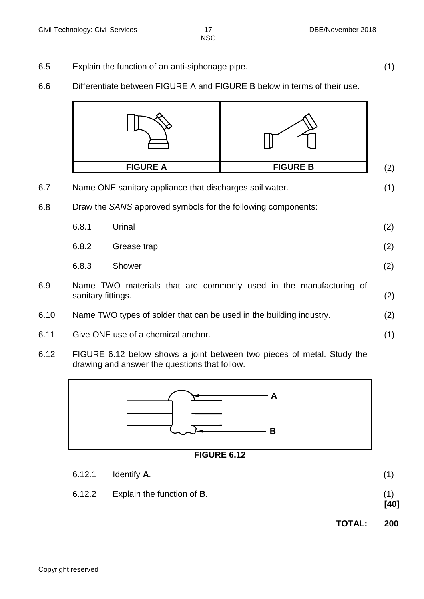- 6.5 Explain the function of an anti-siphonage pipe. (1)
- 6.6 Differentiate between FIGURE A and FIGURE B below in terms of their use.



drawing and answer the questions that follow.



## **FIGURE 6.12**

| 6.12.2 | Explain the function of <b>B</b> . | (1)<br>[40] |
|--------|------------------------------------|-------------|
| 6.12.1 | Identify A.                        | (1)         |

**TOTAL: 200**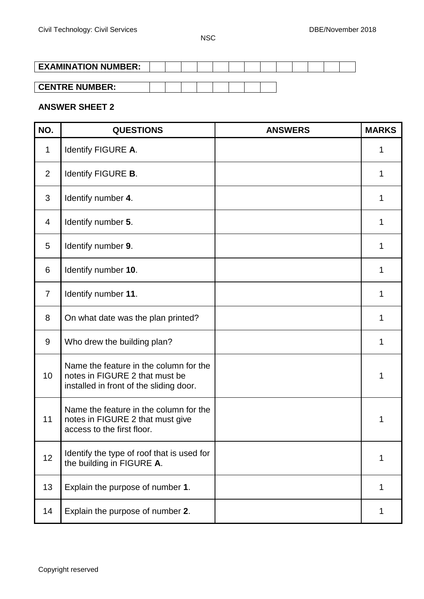| <b>EXAMINATION NUMBER:</b> |  |  |  |  |  |  |  |
|----------------------------|--|--|--|--|--|--|--|
|                            |  |  |  |  |  |  |  |

## **ANSWER SHEET 2**

L

| NO.            | <b>QUESTIONS</b>                                                                                                    | <b>ANSWERS</b> | <b>MARKS</b> |
|----------------|---------------------------------------------------------------------------------------------------------------------|----------------|--------------|
| 1              | Identify FIGURE A.                                                                                                  |                | 1            |
| 2              | Identify FIGURE B.                                                                                                  |                | 1            |
| 3              | Identify number 4.                                                                                                  |                | 1            |
| 4              | Identify number 5.                                                                                                  |                | 1            |
| 5              | Identify number 9.                                                                                                  |                | 1            |
| 6              | Identify number 10.                                                                                                 |                | 1            |
| $\overline{7}$ | Identify number 11.                                                                                                 |                | 1            |
| 8              | On what date was the plan printed?                                                                                  |                | 1            |
| 9              | Who drew the building plan?                                                                                         |                | 1            |
| 10             | Name the feature in the column for the<br>notes in FIGURE 2 that must be<br>installed in front of the sliding door. |                | 1            |
| 11             | Name the feature in the column for the<br>notes in FIGURE 2 that must give<br>access to the first floor.            |                | 1            |
| 12             | Identify the type of roof that is used for<br>the building in FIGURE A.                                             |                | 1            |
| 13             | Explain the purpose of number 1.                                                                                    |                | 1            |
| 14             | Explain the purpose of number 2.                                                                                    |                | 1            |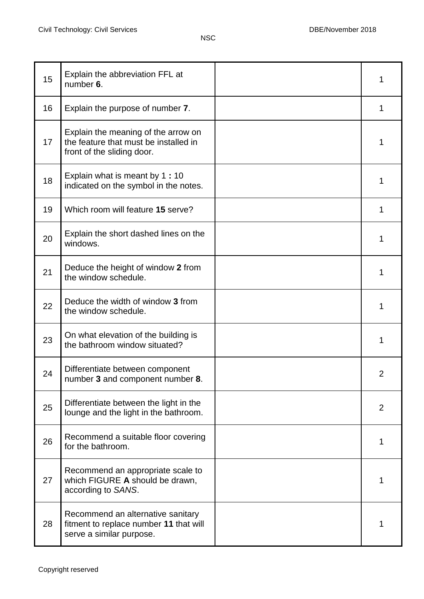| 15 | Explain the abbreviation FFL at<br>number 6.                                                               | 1 |
|----|------------------------------------------------------------------------------------------------------------|---|
| 16 | Explain the purpose of number 7.                                                                           | 1 |
| 17 | Explain the meaning of the arrow on<br>the feature that must be installed in<br>front of the sliding door. | 1 |
| 18 | Explain what is meant by 1:10<br>indicated on the symbol in the notes.                                     | 1 |
| 19 | Which room will feature 15 serve?                                                                          | 1 |
| 20 | Explain the short dashed lines on the<br>windows.                                                          | 1 |
| 21 | Deduce the height of window 2 from<br>the window schedule.                                                 | 1 |
| 22 | Deduce the width of window 3 from<br>the window schedule.                                                  | 1 |
| 23 | On what elevation of the building is<br>the bathroom window situated?                                      | 1 |
| 24 | Differentiate between component<br>number 3 and component number 8                                         | 2 |
| 25 | Differentiate between the light in the<br>lounge and the light in the bathroom.                            | 2 |
| 26 | Recommend a suitable floor covering<br>for the bathroom.                                                   | 1 |
| 27 | Recommend an appropriate scale to<br>which FIGURE A should be drawn,<br>according to SANS.                 |   |
| 28 | Recommend an alternative sanitary<br>fitment to replace number 11 that will<br>serve a similar purpose.    |   |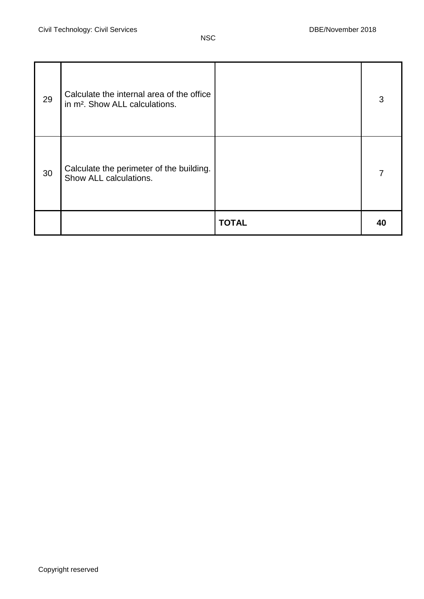| 29 | Calculate the internal area of the office<br>in m <sup>2</sup> . Show ALL calculations. |              | 3  |
|----|-----------------------------------------------------------------------------------------|--------------|----|
| 30 | Calculate the perimeter of the building.<br>Show ALL calculations.                      |              | 7  |
|    |                                                                                         | <b>TOTAL</b> | 40 |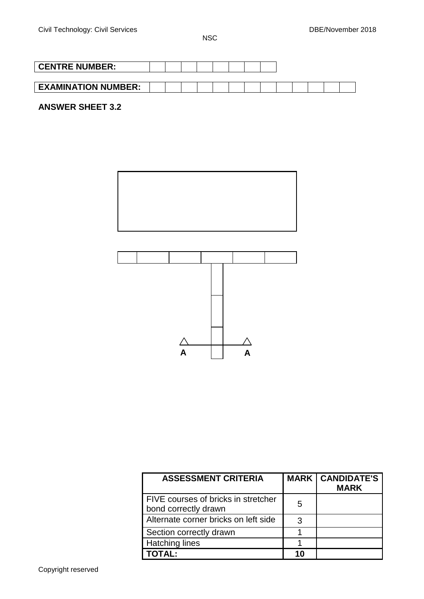| <b>CENTRE NUMBER:</b>      |  |  |  |  |  |  |  |
|----------------------------|--|--|--|--|--|--|--|
|                            |  |  |  |  |  |  |  |
| <b>EXAMINATION NUMBER:</b> |  |  |  |  |  |  |  |

# **ANSWER SHEET 3.2**





| <b>ASSESSMENT CRITERIA</b>                                  |     | <b>MARK   CANDIDATE'S</b><br><b>MARK</b> |
|-------------------------------------------------------------|-----|------------------------------------------|
| FIVE courses of bricks in stretcher<br>bond correctly drawn | 5   |                                          |
| Alternate corner bricks on left side                        | З   |                                          |
| Section correctly drawn                                     |     |                                          |
| <b>Hatching lines</b>                                       |     |                                          |
| ΤΟΤΑΙ :                                                     | 1 N |                                          |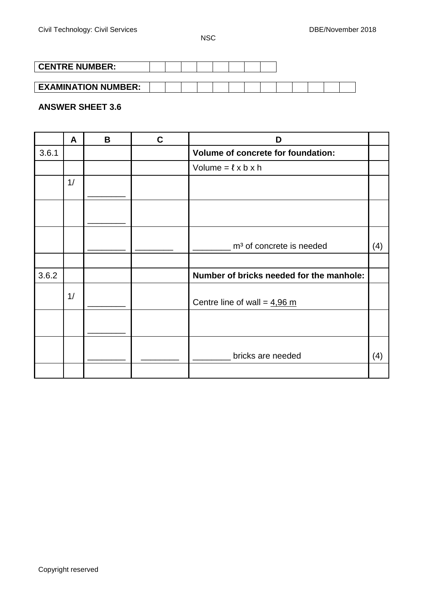| <b>CENTRE NUMBER:</b>      |  |  |  |  |  |  |  |
|----------------------------|--|--|--|--|--|--|--|
|                            |  |  |  |  |  |  |  |
| <b>EXAMINATION NUMBER:</b> |  |  |  |  |  |  |  |

# **ANSWER SHEET 3.6**

|       | A  | B | $\mathbf C$ | D                                        |     |
|-------|----|---|-------------|------------------------------------------|-----|
| 3.6.1 |    |   |             | Volume of concrete for foundation:       |     |
|       |    |   |             | Volume = $l \times b \times h$           |     |
|       | 1/ |   |             |                                          |     |
|       |    |   |             |                                          |     |
|       |    |   |             | m <sup>3</sup> of concrete is needed     | (4) |
|       |    |   |             |                                          |     |
| 3.6.2 |    |   |             | Number of bricks needed for the manhole: |     |
|       | 1/ |   |             | Centre line of wall = $4,96$ m           |     |
|       |    |   |             |                                          |     |
|       |    |   |             | bricks are needed                        | (4) |
|       |    |   |             |                                          |     |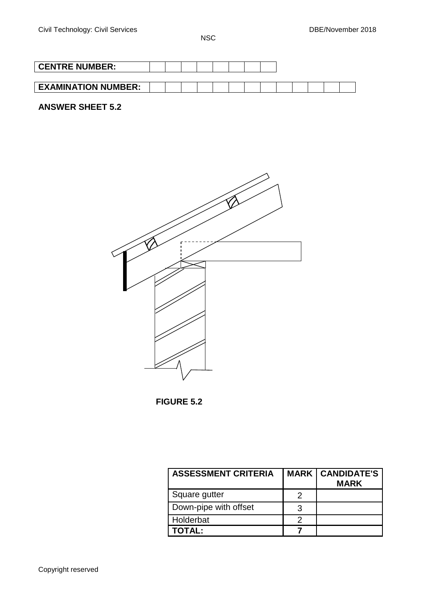| <b>CENTRE NUMBER:</b>      |  |  |  |  |  |  |  |
|----------------------------|--|--|--|--|--|--|--|
|                            |  |  |  |  |  |  |  |
| <b>EXAMINATION NUMBER:</b> |  |  |  |  |  |  |  |

# **ANSWER SHEET 5.2**





| <b>ASSESSMENT CRITERIA</b> |   | <b>MARK   CANDIDATE'S</b><br><b>MARK</b> |
|----------------------------|---|------------------------------------------|
| Square gutter              | 2 |                                          |
| Down-pipe with offset      | 3 |                                          |
| Holderbat                  |   |                                          |
| <b>TOTAL:</b>              |   |                                          |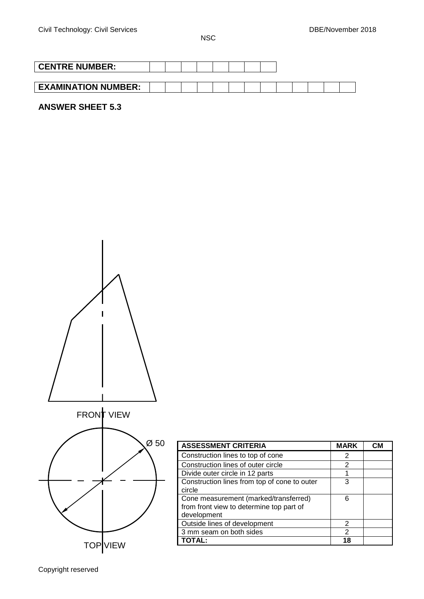| <b>CENTRE NUMBER:</b>      |  |  |  |  |  |  |  |
|----------------------------|--|--|--|--|--|--|--|
|                            |  |  |  |  |  |  |  |
| <b>EXAMINATION NUMBER:</b> |  |  |  |  |  |  |  |

# **ANSWER SHEET 5.3**



| <b>ASSESSMENT CRITERIA</b>                                                                       | <b>MARK</b> | CМ |
|--------------------------------------------------------------------------------------------------|-------------|----|
| Construction lines to top of cone                                                                | 2           |    |
| Construction lines of outer circle                                                               | 2           |    |
| Divide outer circle in 12 parts                                                                  |             |    |
| Construction lines from top of cone to outer<br>circle                                           | 3           |    |
| Cone measurement (marked/transferred)<br>from front view to determine top part of<br>development | հ           |    |
| Outside lines of development                                                                     | 2           |    |
| 3 mm seam on both sides                                                                          | 2           |    |
|                                                                                                  | 18          |    |